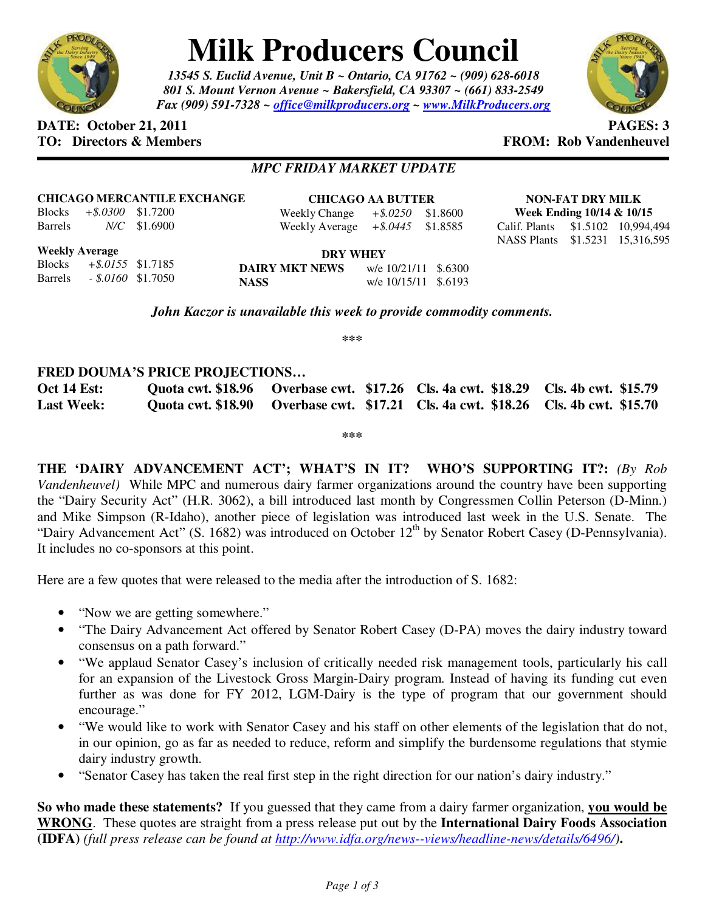

# **Milk Producers Council**

*13545 S. Euclid Avenue, Unit B ~ Ontario, CA 91762 ~ (909) 628-6018 801 S. Mount Vernon Avenue ~ Bakersfield, CA 93307 ~ (661) 833-2549 Fax (909) 591-7328 ~ office@milkproducers.org ~ www.MilkProducers.org*



## **DATE:** October 21, 2011 **PAGES: 3**

**TO: Directors & Members FROM: Rob Vandenheuvel** 

### *MPC FRIDAY MARKET UPDATE*

#### **CHICAGO MERCANTILE EXCHANGE**

Blocks *+\$.0300* \$1.7200 Barrels *N/C* \$1.6900

Barrels *- \$.0160* \$1.7050

**CHICAGO AA BUTTER** Weekly Change *+\$.0250* \$1.8600 Weekly Average *+\$.0445* \$1.8585

**NON-FAT DRY MILK Week Ending 10/14 & 10/15**  Calif. Plants \$1.5102 10,994,494 NASS Plants \$1.5231 15,316,595

**Weekly Average** Blocks *+\$.0155* \$1.7185

| <b>DRY WHEY</b>       |                      |  |
|-----------------------|----------------------|--|
| <b>DAIRY MKT NEWS</b> | w/e 10/21/11 \$.6300 |  |
| <b>NASS</b>           | w/e 10/15/11 \$.6193 |  |

*John Kaczor is unavailable this week to provide commodity comments.* 

**\*\*\*** 

#### **FRED DOUMA'S PRICE PROJECTIONS…**

**Oct 14 Est: Quota cwt. \$18.96 Overbase cwt. \$17.26 Cls. 4a cwt. \$18.29 Cls. 4b cwt. \$15.79 Last Week: Quota cwt. \$18.90 Overbase cwt. \$17.21 Cls. 4a cwt. \$18.26 Cls. 4b cwt. \$15.70** 

**\*\*\*** 

**THE 'DAIRY ADVANCEMENT ACT'; WHAT'S IN IT? WHO'S SUPPORTING IT?:** *(By Rob Vandenheuvel)* While MPC and numerous dairy farmer organizations around the country have been supporting the "Dairy Security Act" (H.R. 3062), a bill introduced last month by Congressmen Collin Peterson (D-Minn.) and Mike Simpson (R-Idaho), another piece of legislation was introduced last week in the U.S. Senate. The "Dairy Advancement Act" (S. 1682) was introduced on October 12<sup>th</sup> by Senator Robert Casey (D-Pennsylvania). It includes no co-sponsors at this point.

Here are a few quotes that were released to the media after the introduction of S. 1682:

- "Now we are getting somewhere."
- "The Dairy Advancement Act offered by Senator Robert Casey (D-PA) moves the dairy industry toward consensus on a path forward."
- "We applaud Senator Casey's inclusion of critically needed risk management tools, particularly his call for an expansion of the Livestock Gross Margin-Dairy program. Instead of having its funding cut even further as was done for FY 2012, LGM-Dairy is the type of program that our government should encourage."
- "We would like to work with Senator Casey and his staff on other elements of the legislation that do not, in our opinion, go as far as needed to reduce, reform and simplify the burdensome regulations that stymie dairy industry growth.
- "Senator Casey has taken the real first step in the right direction for our nation's dairy industry."

**So who made these statements?** If you guessed that they came from a dairy farmer organization, **you would be WRONG**. These quotes are straight from a press release put out by the **International Dairy Foods Association (IDFA)** *(full press release can be found at http://www.idfa.org/news--views/headline-news/details/6496/)***.**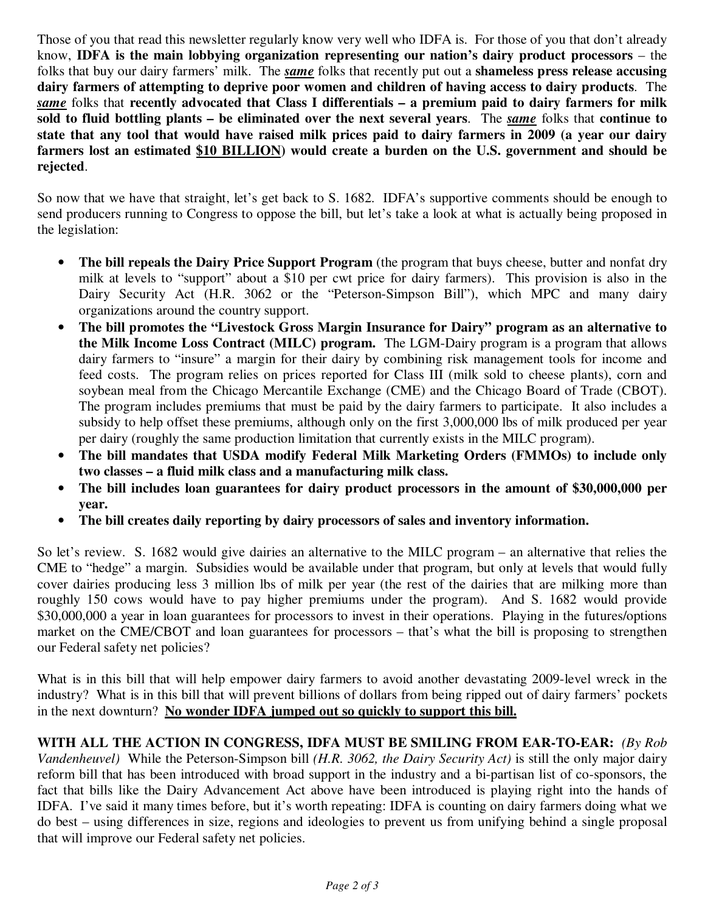Those of you that read this newsletter regularly know very well who IDFA is. For those of you that don't already know, **IDFA is the main lobbying organization representing our nation's dairy product processors** – the folks that buy our dairy farmers' milk. The *same* folks that recently put out a **shameless press release accusing dairy farmers of attempting to deprive poor women and children of having access to dairy products**. The *same* folks that **recently advocated that Class I differentials – a premium paid to dairy farmers for milk sold to fluid bottling plants – be eliminated over the next several years**. The *same* folks that **continue to state that any tool that would have raised milk prices paid to dairy farmers in 2009 (a year our dairy farmers lost an estimated \$10 BILLION) would create a burden on the U.S. government and should be rejected**.

So now that we have that straight, let's get back to S. 1682. IDFA's supportive comments should be enough to send producers running to Congress to oppose the bill, but let's take a look at what is actually being proposed in the legislation:

- **The bill repeals the Dairy Price Support Program** (the program that buys cheese, butter and nonfat dry milk at levels to "support" about a \$10 per cwt price for dairy farmers). This provision is also in the Dairy Security Act (H.R. 3062 or the "Peterson-Simpson Bill"), which MPC and many dairy organizations around the country support.
- **The bill promotes the "Livestock Gross Margin Insurance for Dairy" program as an alternative to the Milk Income Loss Contract (MILC) program.** The LGM-Dairy program is a program that allows dairy farmers to "insure" a margin for their dairy by combining risk management tools for income and feed costs. The program relies on prices reported for Class III (milk sold to cheese plants), corn and soybean meal from the Chicago Mercantile Exchange (CME) and the Chicago Board of Trade (CBOT). The program includes premiums that must be paid by the dairy farmers to participate. It also includes a subsidy to help offset these premiums, although only on the first 3,000,000 lbs of milk produced per year per dairy (roughly the same production limitation that currently exists in the MILC program).
- **The bill mandates that USDA modify Federal Milk Marketing Orders (FMMOs) to include only two classes – a fluid milk class and a manufacturing milk class.**
- **The bill includes loan guarantees for dairy product processors in the amount of \$30,000,000 per year.**
- **The bill creates daily reporting by dairy processors of sales and inventory information.**

So let's review. S. 1682 would give dairies an alternative to the MILC program – an alternative that relies the CME to "hedge" a margin. Subsidies would be available under that program, but only at levels that would fully cover dairies producing less 3 million lbs of milk per year (the rest of the dairies that are milking more than roughly 150 cows would have to pay higher premiums under the program). And S. 1682 would provide \$30,000,000 a year in loan guarantees for processors to invest in their operations. Playing in the futures/options market on the CME/CBOT and loan guarantees for processors – that's what the bill is proposing to strengthen our Federal safety net policies?

What is in this bill that will help empower dairy farmers to avoid another devastating 2009-level wreck in the industry? What is in this bill that will prevent billions of dollars from being ripped out of dairy farmers' pockets in the next downturn? **No wonder IDFA jumped out so quickly to support this bill.**

**WITH ALL THE ACTION IN CONGRESS, IDFA MUST BE SMILING FROM EAR-TO-EAR:** *(By Rob Vandenheuvel)* While the Peterson-Simpson bill *(H.R. 3062, the Dairy Security Act)* is still the only major dairy reform bill that has been introduced with broad support in the industry and a bi-partisan list of co-sponsors, the fact that bills like the Dairy Advancement Act above have been introduced is playing right into the hands of IDFA. I've said it many times before, but it's worth repeating: IDFA is counting on dairy farmers doing what we do best – using differences in size, regions and ideologies to prevent us from unifying behind a single proposal that will improve our Federal safety net policies.